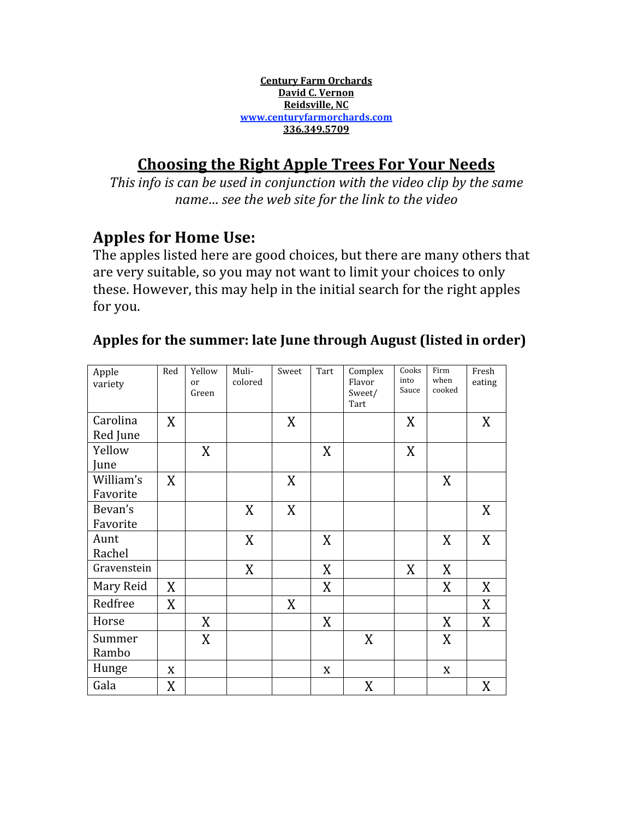**Century
Farm
Orchards David
C.
Vernon Reidsville,
NC www.centuryfarmorchards.com 336.349.5709**

# **Choosing
the
Right
Apple
Trees
For
Your
Needs**

This info is can be used in conjunction with the video clip by the same *name…
see
the
web
site
for
the
link
to
the
video*

# **Apples
for
Home
Use:**

The
apples
listed
here
are
good
choices,
but
there
are
many
others
that are
very
suitable,
so
you
may
not
want
to
limit
your
choices
to
only these.
However,
this
may
help
in
the
initial
search
for
the
right
apples for
you.

#### Apple variety Red Yellow or Green Muli‐ colored Sweet Tart Complex Flavor Sweet/ Tart Cooks into Sauce Firm when cooked Fresh eating Carolina Red
June  $X$   $X$   $X$   $X$   $X$   $X$   $X$   $X$ Yellow June  $X \parallel X \parallel X \parallel X$ William's Favorite  $X$   $X$   $X$   $X$   $X$   $X$ Bevan's Favorite  $X$  | X | | | | | | | X Aunt Rachel  $X$   $X$   $X$ Gravenstein  $\begin{vmatrix} \cdot & \cdot & \cdot \\ \cdot & \cdot & \cdot \\ \cdot & \cdot & \cdot \end{vmatrix}$  X  $\begin{vmatrix} \cdot & \cdot & \cdot \\ \cdot & \cdot & \cdot \\ \cdot & \cdot & \cdot \end{vmatrix}$  X  $\begin{vmatrix} \cdot & \cdot & \cdot \\ \cdot & \cdot & \cdot \\ \cdot & \cdot & \cdot \end{vmatrix}$  X  $\begin{vmatrix} \cdot & \cdot & \cdot \\ \cdot & \cdot & \cdot \\ \cdot & \cdot & \cdot \end{vmatrix}$ Mary
Reid X X X X Redfree X X X Horse  $\mid$   $\mid$  X  $\mid$   $\mid$   $\mid$  X  $\mid$   $\mid$  X  $\mid$  X  $\mid$  X Summer Rambo  $X$  | | |  $X$  | |  $X$ Hunge  $x \mid x$   $\mid$   $\mid x \mid$   $\mid x$   $\mid$  x Gala X X X

## Apples for the summer: late June through August (listed in order)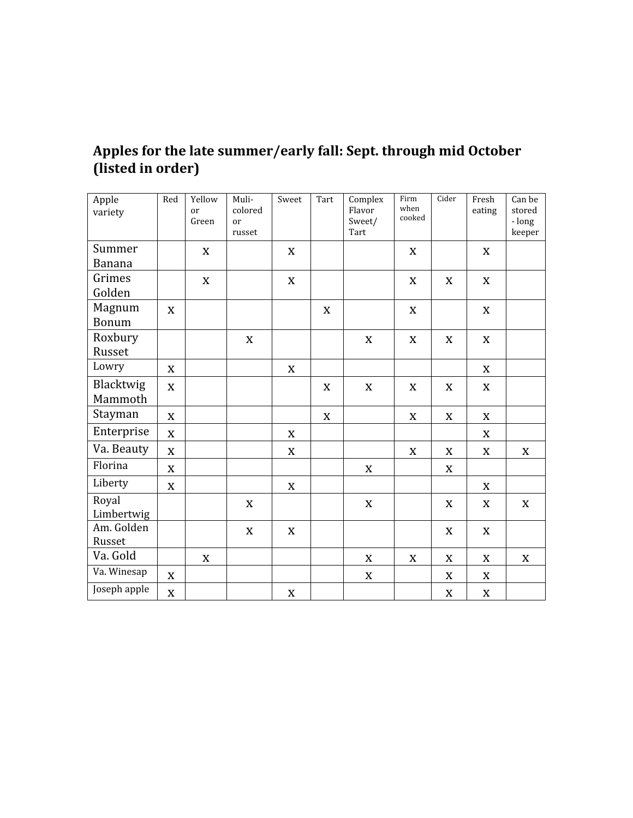### **Apples
for
the
late
summer/early
fall:
Sept.
through
mid
October (listed
in
order)**

| Apple<br>variety     | Red         | Yellow<br>or<br>Green | Muli-<br>colored<br>or<br>russet | Sweet       | Tart        | Complex<br>Flavor<br>Sweet/<br>Tart | Firm<br>when<br>cooked | Cider       | Fresh<br>eating | Can be<br>stored<br>- long<br>keeper |
|----------------------|-------------|-----------------------|----------------------------------|-------------|-------------|-------------------------------------|------------------------|-------------|-----------------|--------------------------------------|
| Summer<br>Banana     |             | X                     |                                  | X           |             |                                     | X                      |             | X               |                                      |
| Grimes<br>Golden     |             | $\mathbf X$           |                                  | $\mathbf X$ |             |                                     | $\mathbf X$            | $\mathbf X$ | $\mathbf X$     |                                      |
| Magnum<br>Bonum      | X           |                       |                                  |             | X           |                                     | $\mathbf X$            |             | $\mathbf X$     |                                      |
| Roxbury<br>Russet    |             |                       | $\mathbf X$                      |             |             | $\mathbf X$                         | $\mathbf X$            | X           | $\mathbf X$     |                                      |
| Lowry                | $\mathbf X$ |                       |                                  | $\mathbf X$ |             |                                     |                        |             | X               |                                      |
| Blacktwig<br>Mammoth | $\mathbf X$ |                       |                                  |             | X           | $\mathbf X$                         | X                      | $\mathbf X$ | X               |                                      |
| Stayman              | $\mathbf X$ |                       |                                  |             | $\mathbf X$ |                                     | $\mathbf X$            | $\mathbf X$ | $\mathbf X$     |                                      |
| Enterprise           | $\mathbf X$ |                       |                                  | $\mathbf X$ |             |                                     |                        |             | $\mathbf X$     |                                      |
| Va. Beauty           | $\mathbf X$ |                       |                                  | $\mathbf X$ |             |                                     | $\mathbf X$            | X           | X               | X                                    |
| Florina              | $\mathbf X$ |                       |                                  |             |             | X                                   |                        | X           |                 |                                      |
| Liberty              | $\mathbf X$ |                       |                                  | $\mathbf X$ |             |                                     |                        |             | $\mathbf X$     |                                      |
| Royal<br>Limbertwig  |             |                       | $\mathbf X$                      |             |             | $\mathbf X$                         |                        | $\mathbf X$ | X               | $\mathbf X$                          |
| Am. Golden<br>Russet |             |                       | $\mathbf X$                      | $\mathbf X$ |             |                                     |                        | $\mathbf X$ | X               |                                      |
| Va. Gold             |             | X                     |                                  |             |             | $\mathbf X$                         | $\mathbf X$            | $\mathbf X$ | X               | $\mathbf X$                          |
| Va. Winesap          | $\mathbf X$ |                       |                                  |             |             | $\mathbf X$                         |                        | $\mathbf X$ | X               |                                      |
| Joseph apple         | $\mathbf X$ |                       |                                  | $\mathbf X$ |             |                                     |                        | $\mathbf X$ | $\mathbf X$     |                                      |